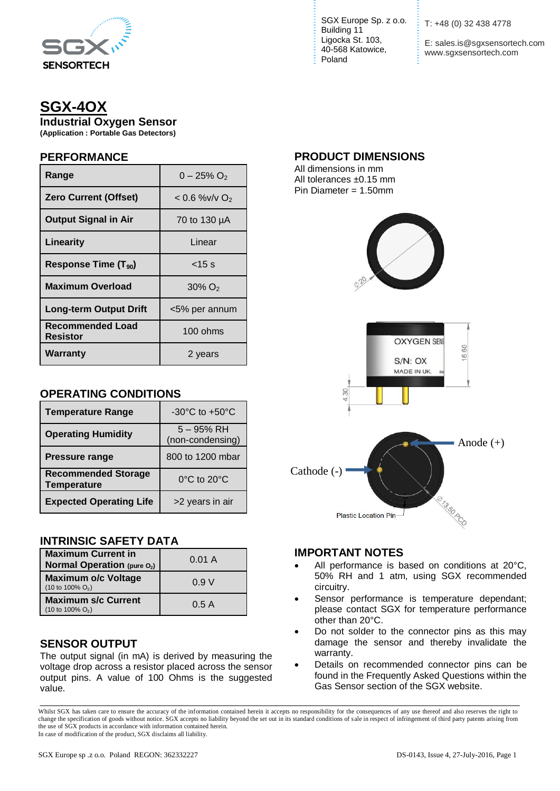

# **SGX-4OX**

**Industrial Oxygen Sensor**

**(Application : Portable Gas Detectors)**

## **PERFORMANCE**

| Range                            | $0 - 25\% O_2$              |
|----------------------------------|-----------------------------|
| <b>Zero Current (Offset)</b>     | $< 0.6$ %v/v O <sub>2</sub> |
| <b>Output Signal in Air</b>      | 70 to 130 µA                |
| Linearity                        | Linear                      |
| Response Time (T <sub>90</sub> ) | $<$ 15 s                    |
| <b>Maximum Overload</b>          | $30\%$ O <sub>2</sub>       |
| <b>Long-term Output Drift</b>    | <5% per annum               |
| Recommended Load<br>Resistor     | 100 ohms                    |
| Warranty                         | 2 years                     |

# **OPERATING CONDITIONS**

| <b>Temperature Range</b>                         | $-30^{\circ}$ C to $+50^{\circ}$ C |
|--------------------------------------------------|------------------------------------|
| <b>Operating Humidity</b>                        | $5 - 95%$ RH<br>(non-condensing)   |
| <b>Pressure range</b>                            | 800 to 1200 mbar                   |
| <b>Recommended Storage</b><br><b>Temperature</b> | $0^{\circ}$ C to $20^{\circ}$ C    |
| <b>Expected Operating Life</b>                   | >2 years in air                    |

# **INTRINSIC SAFETY DATA**

| <b>Maximum Current in</b><br><b>Normal Operation (pure O2)</b>     | 0.01 A |
|--------------------------------------------------------------------|--------|
| <b>Maximum o/c Voltage</b><br>$(10 \text{ to } 100\% \text{ O}_2)$ | 0.9V   |
| <b>Maximum s/c Current</b><br>$(10 \text{ to } 100\% \text{ O}_2)$ | 0.5A   |

# **SENSOR OUTPUT**

The output signal (in mA) is derived by measuring the voltage drop across a resistor placed across the sensor output pins. A value of 100 Ohms is the suggested value.

SGX Europe Sp. z o.o. Building 11 Ligocka St. 103, 40-568 Katowice, Poland

T: +48 (0) 32 438 4778

E: sales.is@sgxsensortech.com www.sgxsensortech.com

## **PRODUCT DIMENSIONS**

All dimensions in mm All tolerances ±0.15 mm Pin Diameter = 1.50mm





# **IMPORTANT NOTES**

- All performance is based on conditions at 20°C, 50% RH and 1 atm, using SGX recommended circuitry.
- Sensor performance is temperature dependant; please contact SGX for temperature performance other than 20°C.
- Do not solder to the connector pins as this may damage the sensor and thereby invalidate the warranty.
- Details on recommended connector pins can be found in the Frequently Asked Questions within the Gas Sensor section of the SGX website.

\_\_\_\_\_\_\_\_\_\_\_\_\_\_\_\_\_\_\_\_\_\_\_\_\_\_\_\_\_\_\_\_\_\_\_\_\_\_\_\_\_\_\_\_\_\_\_\_\_\_\_\_\_\_\_\_\_\_\_\_\_\_\_\_\_\_\_\_\_\_\_\_\_\_\_\_\_\_\_\_\_\_\_\_\_ Whilst SGX has taken care to ensure the accuracy of the information contained herein it accepts no responsibility for the consequences of any use thereof and also reserves the right to change the specification of goods without notice. SGX accepts no liability beyond the set out in its standard conditions of s ale in respect of infringement of third party patents arising from the use of SGX products in accordance with information contained herein. In case of modification of the product, SGX disclaims all liability.